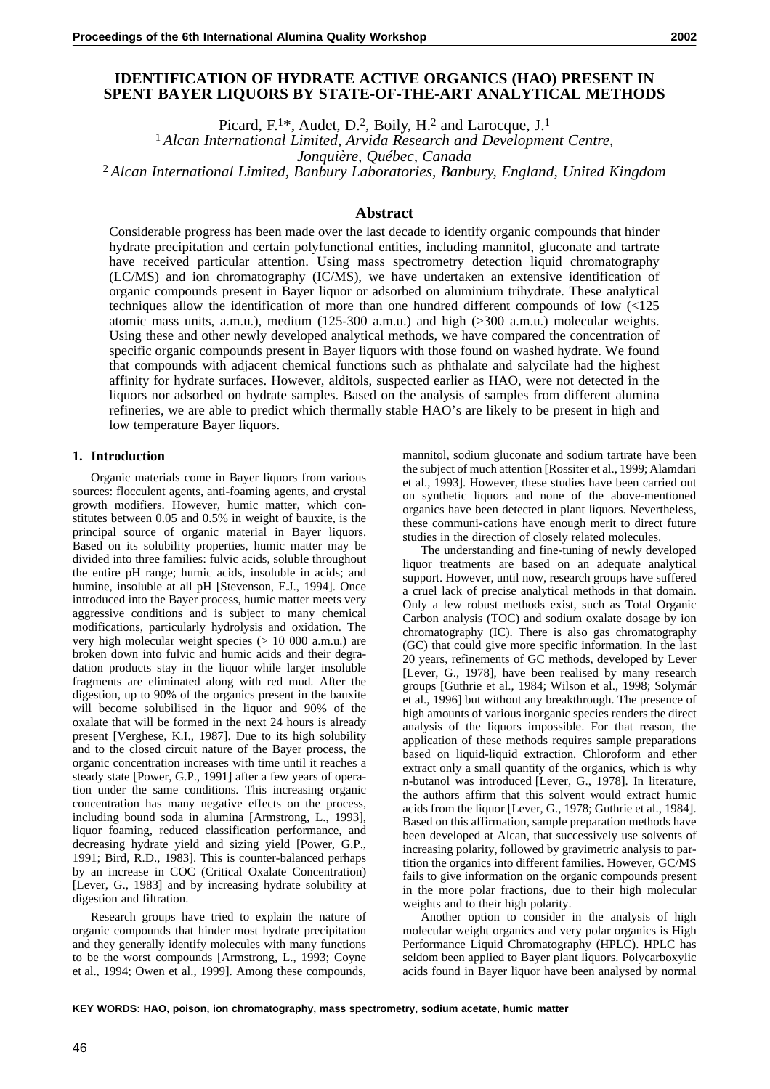# **IDENTIFICATION OF HYDRATE ACTIVE ORGANICS (HAO) PRESENT IN SPENT BAYER LIQUORS BY STATE-OF-THE-ART ANALYTICAL METHODS**

Picard,  $F^{1*}$ , Audet, D.<sup>2</sup>, Boily, H.<sup>2</sup> and Larocque, J.<sup>1</sup>

<sup>1</sup> *Alcan International Limited, Arvida Research and Development Centre,*

*Jonquière, Québec, Canada*

<sup>2</sup> *Alcan International Limited, Banbury Laboratories, Banbury, England, United Kingdom*

# **Abstract**

Considerable progress has been made over the last decade to identify organic compounds that hinder hydrate precipitation and certain polyfunctional entities, including mannitol, gluconate and tartrate have received particular attention. Using mass spectrometry detection liquid chromatography (LC/MS) and ion chromatography (IC/MS), we have undertaken an extensive identification of organic compounds present in Bayer liquor or adsorbed on aluminium trihydrate. These analytical techniques allow the identification of more than one hundred different compounds of low (<125 atomic mass units, a.m.u.), medium (125-300 a.m.u.) and high (>300 a.m.u.) molecular weights. Using these and other newly developed analytical methods, we have compared the concentration of specific organic compounds present in Bayer liquors with those found on washed hydrate. We found that compounds with adjacent chemical functions such as phthalate and salycilate had the highest affinity for hydrate surfaces. However, alditols, suspected earlier as HAO, were not detected in the liquors nor adsorbed on hydrate samples. Based on the analysis of samples from different alumina refineries, we are able to predict which thermally stable HAO's are likely to be present in high and low temperature Bayer liquors.

#### **1. Introduction**

Organic materials come in Bayer liquors from various sources: flocculent agents, anti-foaming agents, and crystal growth modifiers. However, humic matter, which constitutes between 0.05 and 0.5% in weight of bauxite, is the principal source of organic material in Bayer liquors. Based on its solubility properties, humic matter may be divided into three families: fulvic acids, soluble throughout the entire pH range; humic acids, insoluble in acids; and humine, insoluble at all pH [Stevenson, F.J., 1994]. Once introduced into the Bayer process, humic matter meets very aggressive conditions and is subject to many chemical modifications, particularly hydrolysis and oxidation. The very high molecular weight species (> 10 000 a.m.u.) are broken down into fulvic and humic acids and their degradation products stay in the liquor while larger insoluble fragments are eliminated along with red mud. After the digestion, up to 90% of the organics present in the bauxite will become solubilised in the liquor and 90% of the oxalate that will be formed in the next 24 hours is already present [Verghese, K.I., 1987]. Due to its high solubility and to the closed circuit nature of the Bayer process, the organic concentration increases with time until it reaches a steady state [Power, G.P., 1991] after a few years of operation under the same conditions. This increasing organic concentration has many negative effects on the process, including bound soda in alumina [Armstrong, L., 1993], liquor foaming, reduced classification performance, and decreasing hydrate yield and sizing yield [Power, G.P., 1991; Bird, R.D., 1983]. This is counter-balanced perhaps by an increase in COC (Critical Oxalate Concentration) [Lever, G., 1983] and by increasing hydrate solubility at digestion and filtration.

Research groups have tried to explain the nature of organic compounds that hinder most hydrate precipitation and they generally identify molecules with many functions to be the worst compounds [Armstrong, L., 1993; Coyne et al., 1994; Owen et al., 1999]. Among these compounds,

mannitol, sodium gluconate and sodium tartrate have been the subject of much attention [Rossiter et al., 1999; Alamdari et al., 1993]. However, these studies have been carried out on synthetic liquors and none of the above-mentioned organics have been detected in plant liquors. Nevertheless, these communi-cations have enough merit to direct future studies in the direction of closely related molecules.

The understanding and fine-tuning of newly developed liquor treatments are based on an adequate analytical support. However, until now, research groups have suffered a cruel lack of precise analytical methods in that domain. Only a few robust methods exist, such as Total Organic Carbon analysis (TOC) and sodium oxalate dosage by ion chromatography (IC). There is also gas chromatography (GC) that could give more specific information. In the last 20 years, refinements of GC methods, developed by Lever [Lever, G., 1978], have been realised by many research groups [Guthrie et al., 1984; Wilson et al., 1998; Solymár et al., 1996] but without any breakthrough. The presence of high amounts of various inorganic species renders the direct analysis of the liquors impossible. For that reason, the application of these methods requires sample preparations based on liquid-liquid extraction. Chloroform and ether extract only a small quantity of the organics, which is why n-butanol was introduced [Lever, G., 1978]. In literature, the authors affirm that this solvent would extract humic acids from the liquor [Lever, G., 1978; Guthrie et al., 1984]. Based on this affirmation, sample preparation methods have been developed at Alcan, that successively use solvents of increasing polarity, followed by gravimetric analysis to partition the organics into different families. However, GC/MS fails to give information on the organic compounds present in the more polar fractions, due to their high molecular weights and to their high polarity.

Another option to consider in the analysis of high molecular weight organics and very polar organics is High Performance Liquid Chromatography (HPLC). HPLC has seldom been applied to Bayer plant liquors. Polycarboxylic acids found in Bayer liquor have been analysed by normal

**KEY WORDS: HAO, poison, ion chromatography, mass spectrometry, sodium acetate, humic matter**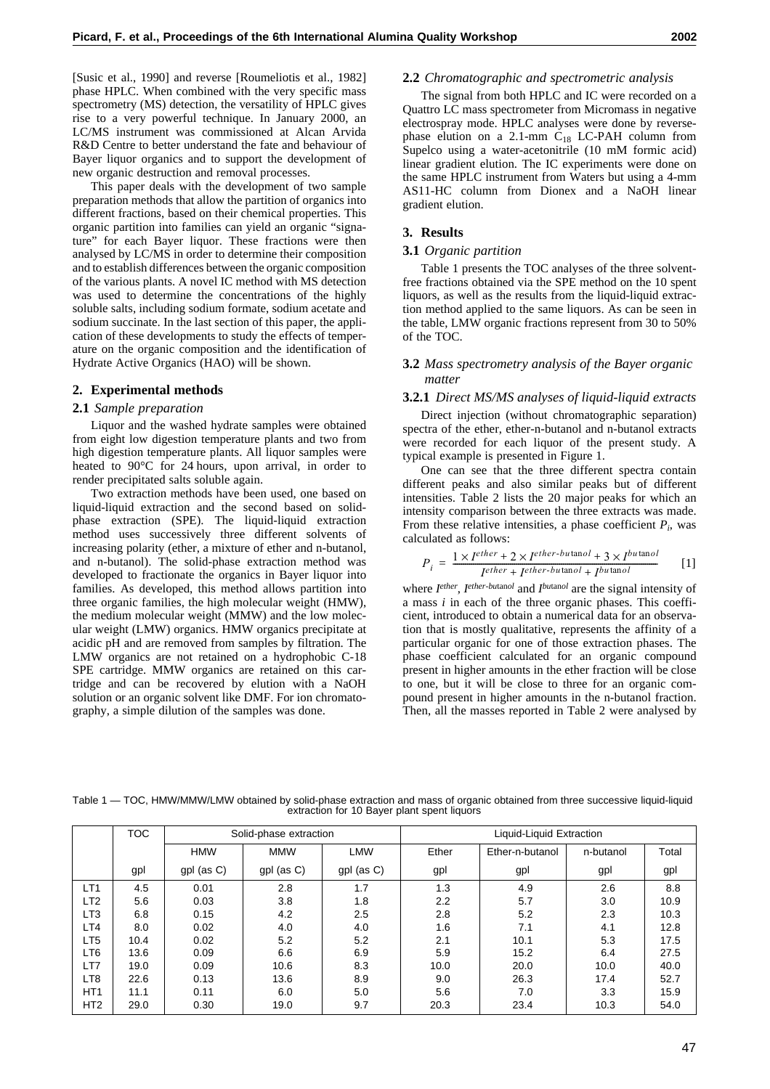[Susic et al., 1990] and reverse [Roumeliotis et al., 1982] phase HPLC. When combined with the very specific mass spectrometry (MS) detection, the versatility of HPLC gives rise to a very powerful technique. In January 2000, an LC/MS instrument was commissioned at Alcan Arvida R&D Centre to better understand the fate and behaviour of Bayer liquor organics and to support the development of new organic destruction and removal processes.

This paper deals with the development of two sample preparation methods that allow the partition of organics into different fractions, based on their chemical properties. This organic partition into families can yield an organic "signature" for each Bayer liquor. These fractions were then analysed by LC/MS in order to determine their composition and to establish differences between the organic composition of the various plants. A novel IC method with MS detection was used to determine the concentrations of the highly soluble salts, including sodium formate, sodium acetate and sodium succinate. In the last section of this paper, the application of these developments to study the effects of temperature on the organic composition and the identification of Hydrate Active Organics (HAO) will be shown.

#### **2. Experimental methods**

#### **2.1** *Sample preparation*

Liquor and the washed hydrate samples were obtained from eight low digestion temperature plants and two from high digestion temperature plants. All liquor samples were heated to 90°C for 24 hours, upon arrival, in order to render precipitated salts soluble again.

Two extraction methods have been used, one based on liquid-liquid extraction and the second based on solidphase extraction (SPE). The liquid-liquid extraction method uses successively three different solvents of increasing polarity (ether, a mixture of ether and n-butanol, and n-butanol). The solid-phase extraction method was developed to fractionate the organics in Bayer liquor into families. As developed, this method allows partition into three organic families, the high molecular weight (HMW), the medium molecular weight (MMW) and the low molecular weight (LMW) organics. HMW organics precipitate at acidic pH and are removed from samples by filtration. The LMW organics are not retained on a hydrophobic C-18 SPE cartridge. MMW organics are retained on this cartridge and can be recovered by elution with a NaOH solution or an organic solvent like DMF. For ion chromatography, a simple dilution of the samples was done.

#### **2.2** *Chromatographic and spectrometric analysis*

The signal from both HPLC and IC were recorded on a Quattro LC mass spectrometer from Micromass in negative electrospray mode. HPLC analyses were done by reversephase elution on a 2.1-mm  $C_{18}$  LC-PAH column from Supelco using a water-acetonitrile (10 mM formic acid) linear gradient elution. The IC experiments were done on the same HPLC instrument from Waters but using a 4-mm AS11-HC column from Dionex and a NaOH linear gradient elution.

### **3. Results**

#### **3.1** *Organic partition*

Table 1 presents the TOC analyses of the three solventfree fractions obtained via the SPE method on the 10 spent liquors, as well as the results from the liquid-liquid extraction method applied to the same liquors. As can be seen in the table, LMW organic fractions represent from 30 to 50% of the TOC.

# **3.2** *Mass spectrometry analysis of the Bayer organic matter*

#### **3.2.1** *Direct MS/MS analyses of liquid-liquid extracts*

Direct injection (without chromatographic separation) spectra of the ether, ether-n-butanol and n-butanol extracts were recorded for each liquor of the present study. A typical example is presented in Figure 1.

One can see that the three different spectra contain different peaks and also similar peaks but of different intensities. Table 2 lists the 20 major peaks for which an intensity comparison between the three extracts was made. From these relative intensities, a phase coefficient  $P_i$ , was calculated as follows:

$$
P_i = \frac{1 \times I^{ether} + 2 \times I^{ether-butanol} + 3 \times I^{butanol}}{I^{ether} + I^{ether-butanol} + I^{butanol}}
$$
 [1]

where *Iether*, *Iether-bu*tan*ol* and *Ibu*tan*ol* are the signal intensity of a mass *i* in each of the three organic phases. This coefficient, introduced to obtain a numerical data for an observation that is mostly qualitative, represents the affinity of a particular organic for one of those extraction phases. The phase coefficient calculated for an organic compound present in higher amounts in the ether fraction will be close to one, but it will be close to three for an organic compound present in higher amounts in the n-butanol fraction. Then, all the masses reported in Table 2 were analysed by

Table 1 — TOC, HMW/MMW/LMW obtained by solid-phase extraction and mass of organic obtained from three successive liquid-liquid extraction for 10 Bayer plant spent liquors

|                 | <b>TOC</b> |              | Solid-phase extraction |              | Liquid-Liquid Extraction |                 |           |       |  |
|-----------------|------------|--------------|------------------------|--------------|--------------------------|-----------------|-----------|-------|--|
|                 |            | <b>HMW</b>   | <b>MMW</b>             | <b>LMW</b>   | Ether                    | Ether-n-butanol | n-butanol | Total |  |
|                 | gpl        | $gpl$ (as C) | $gpl$ (as C)           | $gpl$ (as C) | gpl                      | gpl             | gpl       | gpl   |  |
| LT <sub>1</sub> | 4.5        | 0.01         | 2.8                    | 1.7          | 1.3                      | 4.9             | 2.6       | 8.8   |  |
| LT <sub>2</sub> | 5.6        | 0.03         | 3.8                    | 1.8          | 2.2                      | 5.7             | 3.0       | 10.9  |  |
| LT <sub>3</sub> | 6.8        | 0.15         | 4.2                    | 2.5          | 2.8                      | 5.2             | 2.3       | 10.3  |  |
| LT4             | 8.0        | 0.02         | 4.0                    | 4.0          | 1.6                      | 7.1             | 4.1       | 12.8  |  |
| LT <sub>5</sub> | 10.4       | 0.02         | 5.2                    | 5.2          | 2.1                      | 10.1            | 5.3       | 17.5  |  |
| LT <sub>6</sub> | 13.6       | 0.09         | 6.6                    | 6.9          | 5.9                      | 15.2            | 6.4       | 27.5  |  |
| LT7             | 19.0       | 0.09         | 10.6                   | 8.3          | 10.0                     | 20.0            | 10.0      | 40.0  |  |
| LT <sub>8</sub> | 22.6       | 0.13         | 13.6                   | 8.9          | 9.0                      | 26.3            | 17.4      | 52.7  |  |
| HT <sub>1</sub> | 11.1       | 0.11         | 6.0                    | 5.0          | 5.6                      | 7.0             | 3.3       | 15.9  |  |
| HT <sub>2</sub> | 29.0       | 0.30         | 19.0                   | 9.7          | 20.3                     | 23.4            | 10.3      | 54.0  |  |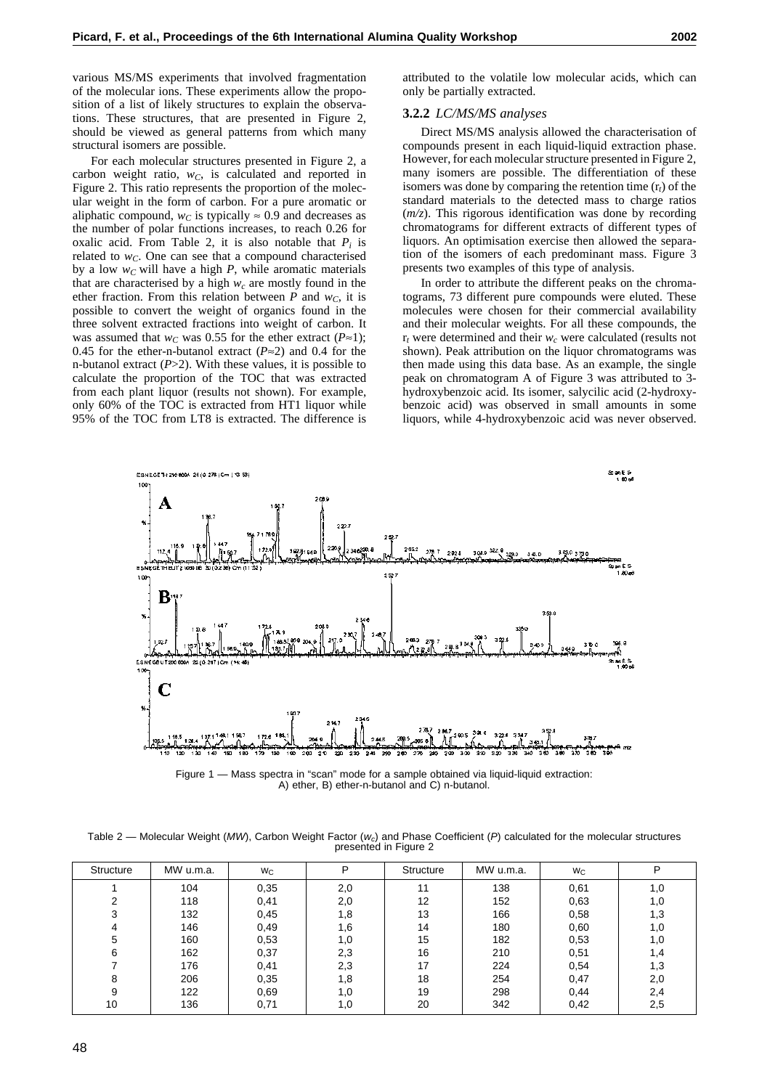various MS/MS experiments that involved fragmentation of the molecular ions. These experiments allow the proposition of a list of likely structures to explain the observations. These structures, that are presented in Figure 2, should be viewed as general patterns from which many structural isomers are possible.

For each molecular structures presented in Figure 2, a carbon weight ratio,  $w<sub>C</sub>$ , is calculated and reported in Figure 2. This ratio represents the proportion of the molecular weight in the form of carbon. For a pure aromatic or aliphatic compound,  $w_C$  is typically  $\approx 0.9$  and decreases as the number of polar functions increases, to reach 0.26 for oxalic acid. From Table 2, it is also notable that  $P_i$  is related to  $w<sub>C</sub>$ . One can see that a compound characterised by a low  $w<sub>C</sub>$  will have a high  $P$ , while aromatic materials that are characterised by a high  $w_c$  are mostly found in the ether fraction. From this relation between  $P$  and  $w_C$ , it is possible to convert the weight of organics found in the three solvent extracted fractions into weight of carbon. It was assumed that *w<sub>C</sub>* was 0.55 for the ether extract ( $P \approx 1$ ); 0.45 for the ether-n-butanol extract (*P*≈2) and 0.4 for the n-butanol extract (*P*>2). With these values, it is possible to calculate the proportion of the TOC that was extracted from each plant liquor (results not shown). For example, only 60% of the TOC is extracted from HT1 liquor while 95% of the TOC from LT8 is extracted. The difference is

attributed to the volatile low molecular acids, which can only be partially extracted.

#### **3.2.2** *LC/MS/MS analyses*

Direct MS/MS analysis allowed the characterisation of compounds present in each liquid-liquid extraction phase. However, for each molecular structure presented in Figure 2, many isomers are possible. The differentiation of these isomers was done by comparing the retention time (r*t*) of the standard materials to the detected mass to charge ratios (*m/z*). This rigorous identification was done by recording chromatograms for different extracts of different types of liquors. An optimisation exercise then allowed the separation of the isomers of each predominant mass. Figure 3 presents two examples of this type of analysis.

In order to attribute the different peaks on the chromatograms, 73 different pure compounds were eluted. These molecules were chosen for their commercial availability and their molecular weights. For all these compounds, the r<sub>t</sub> were determined and their *w<sub>c</sub>* were calculated (results not shown). Peak attribution on the liquor chromatograms was then made using this data base. As an example, the single peak on chromatogram A of Figure 3 was attributed to 3 hydroxybenzoic acid. Its isomer, salycilic acid (2-hydroxybenzoic acid) was observed in small amounts in some liquors, while 4-hydroxybenzoic acid was never observed.



Figure 1 — Mass spectra in "scan" mode for a sample obtained via liquid-liquid extraction: A) ether, B) ether-n-butanol and C) n-butanol.

Table 2 — Molecular Weight (MW), Carbon Weight Factor ( $w_c$ ) and Phase Coefficient (P) calculated for the molecular structures presented in Figure 2

| Structure | MW u.m.a. | <b>W<sub>C</sub></b> | P   | Structure | MW u.m.a. | Wc   | P   |
|-----------|-----------|----------------------|-----|-----------|-----------|------|-----|
|           | 104       | 0,35                 | 2,0 | 11        | 138       | 0,61 | 1,0 |
| ◠         | 118       | 0,41                 | 2,0 | 12        | 152       | 0.63 | 1,0 |
| 3         | 132       | 0,45                 | 1,8 | 13        | 166       | 0,58 | 1,3 |
| 4         | 146       | 0,49                 | 1,6 | 14        | 180       | 0,60 | 1,0 |
| 5         | 160       | 0,53                 | 1,0 | 15        | 182       | 0,53 | 1,0 |
| 6         | 162       | 0,37                 | 2,3 | 16        | 210       | 0,51 | 1,4 |
|           | 176       | 0,41                 | 2,3 | 17        | 224       | 0,54 | 1,3 |
| 8         | 206       | 0,35                 | 1,8 | 18        | 254       | 0,47 | 2,0 |
| 9         | 122       | 0,69                 | 1,0 | 19        | 298       | 0,44 | 2,4 |
| 10        | 136       | 0,71                 | 1,0 | 20        | 342       | 0,42 | 2,5 |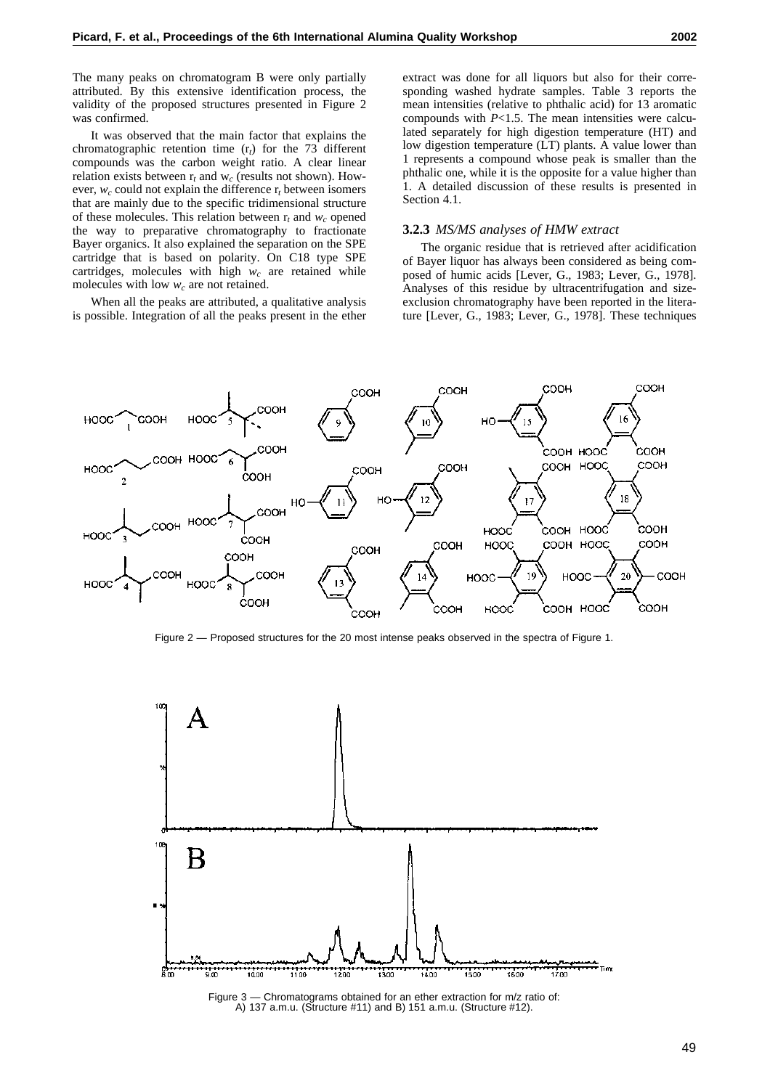The many peaks on chromatogram B were only partially attributed. By this extensive identification process, the validity of the proposed structures presented in Figure 2 was confirmed.

It was observed that the main factor that explains the chromatographic retention time (r*t*) for the 73 different compounds was the carbon weight ratio. A clear linear relation exists between r*<sup>t</sup>* and w*<sup>c</sup>* (results not shown). However,  $w_c$  could not explain the difference  $r_t$  between isomers that are mainly due to the specific tridimensional structure of these molecules. This relation between  $r_t$  and  $w_c$  opened the way to preparative chromatography to fractionate Bayer organics. It also explained the separation on the SPE cartridge that is based on polarity. On C18 type SPE cartridges, molecules with high  $w_c$  are retained while molecules with low  $w_c$  are not retained.

When all the peaks are attributed, a qualitative analysis is possible. Integration of all the peaks present in the ether extract was done for all liquors but also for their corresponding washed hydrate samples. Table 3 reports the mean intensities (relative to phthalic acid) for 13 aromatic compounds with *P*<1.5. The mean intensities were calculated separately for high digestion temperature (HT) and low digestion temperature (LT) plants. A value lower than 1 represents a compound whose peak is smaller than the phthalic one, while it is the opposite for a value higher than 1. A detailed discussion of these results is presented in Section 4.1.

#### **3.2.3** *MS/MS analyses of HMW extract*

The organic residue that is retrieved after acidification of Bayer liquor has always been considered as being composed of humic acids [Lever, G., 1983; Lever, G., 1978]. Analyses of this residue by ultracentrifugation and sizeexclusion chromatography have been reported in the literature [Lever, G., 1983; Lever, G., 1978]. These techniques



Figure 2 — Proposed structures for the 20 most intense peaks observed in the spectra of Figure 1.



A) 137 a.m.u. (Structure #11) and B) 151 a.m.u. (Structure #12).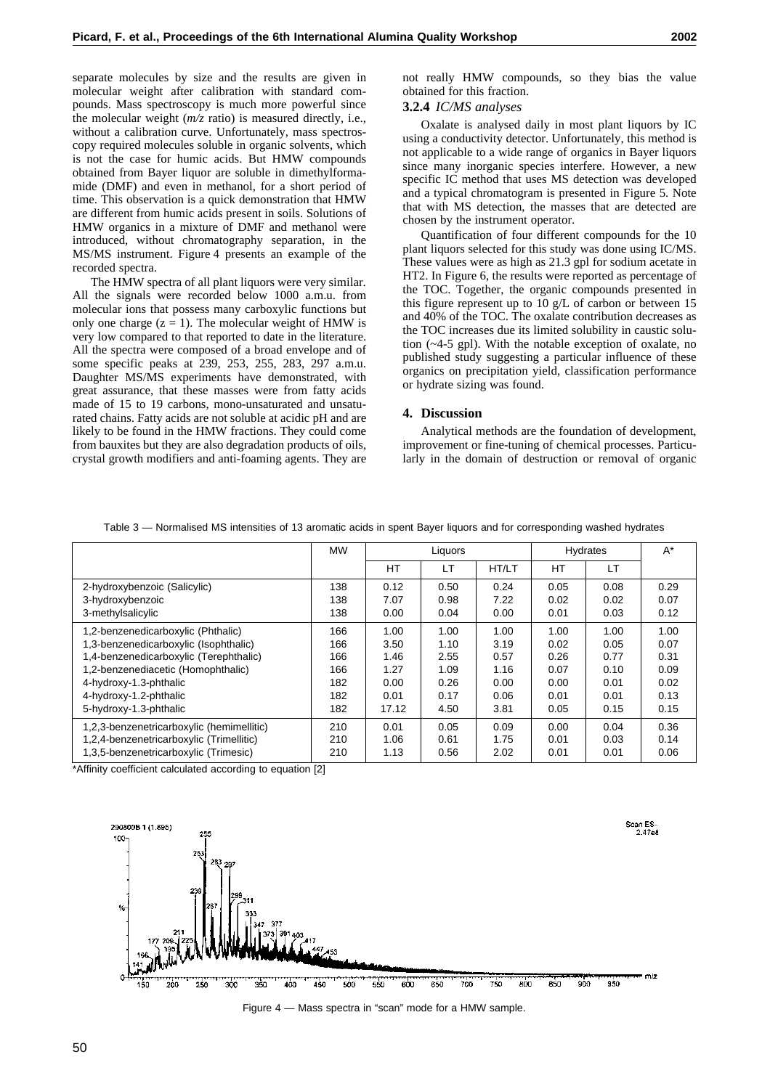separate molecules by size and the results are given in molecular weight after calibration with standard com-

pounds. Mass spectroscopy is much more powerful since the molecular weight (*m/z* ratio) is measured directly, i.e., without a calibration curve. Unfortunately, mass spectroscopy required molecules soluble in organic solvents, which is not the case for humic acids. But HMW compounds obtained from Bayer liquor are soluble in dimethylformamide (DMF) and even in methanol, for a short period of time. This observation is a quick demonstration that HMW are different from humic acids present in soils. Solutions of HMW organics in a mixture of DMF and methanol were introduced, without chromatography separation, in the MS/MS instrument. Figure 4 presents an example of the recorded spectra.

The HMW spectra of all plant liquors were very similar. All the signals were recorded below 1000 a.m.u. from molecular ions that possess many carboxylic functions but only one charge  $(z = 1)$ . The molecular weight of HMW is very low compared to that reported to date in the literature. All the spectra were composed of a broad envelope and of some specific peaks at 239, 253, 255, 283, 297 a.m.u. Daughter MS/MS experiments have demonstrated, with great assurance, that these masses were from fatty acids made of 15 to 19 carbons, mono-unsaturated and unsaturated chains. Fatty acids are not soluble at acidic pH and are likely to be found in the HMW fractions. They could come from bauxites but they are also degradation products of oils, crystal growth modifiers and anti-foaming agents. They are

# **3.2.4** *IC/MS analyses*

Oxalate is analysed daily in most plant liquors by IC using a conductivity detector. Unfortunately, this method is not applicable to a wide range of organics in Bayer liquors since many inorganic species interfere. However, a new specific IC method that uses MS detection was developed and a typical chromatogram is presented in Figure 5. Note that with MS detection, the masses that are detected are chosen by the instrument operator.

Quantification of four different compounds for the 10 plant liquors selected for this study was done using IC/MS. These values were as high as 21.3 gpl for sodium acetate in HT2. In Figure 6, the results were reported as percentage of the TOC. Together, the organic compounds presented in this figure represent up to 10 g/L of carbon or between 15 and 40% of the TOC. The oxalate contribution decreases as the TOC increases due its limited solubility in caustic solution (~4-5 gpl). With the notable exception of oxalate, no published study suggesting a particular influence of these organics on precipitation yield, classification performance or hydrate sizing was found.

# **4. Discussion**

Analytical methods are the foundation of development, improvement or fine-tuning of chemical processes. Particularly in the domain of destruction or removal of organic

|                                           | <b>MW</b> | Liquors |           |       | <b>Hydrates</b> |      | $A^*$ |
|-------------------------------------------|-----------|---------|-----------|-------|-----------------|------|-------|
|                                           |           | HT      | <b>LT</b> | HT/LT | HT              | LT   |       |
| 2-hydroxybenzoic (Salicylic)              | 138       | 0.12    | 0.50      | 0.24  | 0.05            | 0.08 | 0.29  |
| 3-hydroxybenzoic                          | 138       | 7.07    | 0.98      | 7.22  | 0.02            | 0.02 | 0.07  |
| 3-methylsalicylic                         | 138       | 0.00    | 0.04      | 0.00  | 0.01            | 0.03 | 0.12  |
| 1,2-benzenedicarboxylic (Phthalic)        | 166       | 1.00    | 1.00      | 1.00  | 1.00            | 1.00 | 1.00  |
| 1,3-benzenedicarboxylic (Isophthalic)     | 166       | 3.50    | 1.10      | 3.19  | 0.02            | 0.05 | 0.07  |
| 1,4-benzenedicarboxylic (Terephthalic)    | 166       | 1.46    | 2.55      | 0.57  | 0.26            | 0.77 | 0.31  |
| 1,2-benzenediacetic (Homophthalic)        | 166       | 1.27    | 1.09      | 1.16  | 0.07            | 0.10 | 0.09  |
| 4-hydroxy-1.3-phthalic                    | 182       | 0.00    | 0.26      | 0.00  | 0.00            | 0.01 | 0.02  |
| 4-hydroxy-1.2-phthalic                    | 182       | 0.01    | 0.17      | 0.06  | 0.01            | 0.01 | 0.13  |
| 5-hydroxy-1.3-phthalic                    | 182       | 17.12   | 4.50      | 3.81  | 0.05            | 0.15 | 0.15  |
| 1,2,3-benzenetricarboxylic (hemimellitic) | 210       | 0.01    | 0.05      | 0.09  | 0.00            | 0.04 | 0.36  |
| 1,2,4-benzenetricarboxylic (Trimellitic)  | 210       | 1.06    | 0.61      | 1.75  | 0.01            | 0.03 | 0.14  |
| 1,3,5-benzenetricarboxylic (Trimesic)     | 210       | 1.13    | 0.56      | 2.02  | 0.01            | 0.01 | 0.06  |

Table 3 — Normalised MS intensities of 13 aromatic acids in spent Bayer liquors and for corresponding washed hydrates

\*Affinity coefficient calculated according to equation [2]



Figure 4 — Mass spectra in "scan" mode for a HMW sample.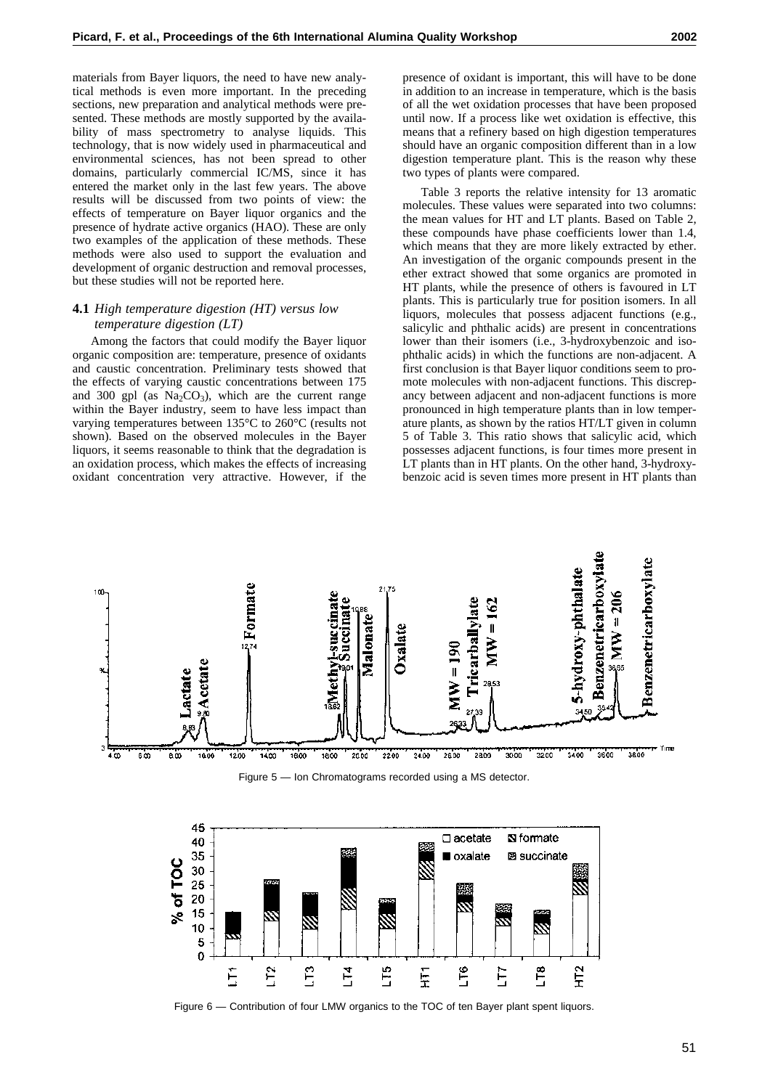materials from Bayer liquors, the need to have new analytical methods is even more important. In the preceding sections, new preparation and analytical methods were presented. These methods are mostly supported by the availability of mass spectrometry to analyse liquids. This technology, that is now widely used in pharmaceutical and environmental sciences, has not been spread to other domains, particularly commercial IC/MS, since it has entered the market only in the last few years. The above results will be discussed from two points of view: the effects of temperature on Bayer liquor organics and the presence of hydrate active organics (HAO). These are only two examples of the application of these methods. These methods were also used to support the evaluation and development of organic destruction and removal processes, but these studies will not be reported here.

# **4.1** *High temperature digestion (HT) versus low temperature digestion (LT)*

Among the factors that could modify the Bayer liquor organic composition are: temperature, presence of oxidants and caustic concentration. Preliminary tests showed that the effects of varying caustic concentrations between 175 and 300 gpl (as  $Na<sub>2</sub>CO<sub>3</sub>$ ), which are the current range within the Bayer industry, seem to have less impact than varying temperatures between 135°C to 260°C (results not shown). Based on the observed molecules in the Bayer liquors, it seems reasonable to think that the degradation is an oxidation process, which makes the effects of increasing oxidant concentration very attractive. However, if the

presence of oxidant is important, this will have to be done in addition to an increase in temperature, which is the basis of all the wet oxidation processes that have been proposed until now. If a process like wet oxidation is effective, this means that a refinery based on high digestion temperatures should have an organic composition different than in a low digestion temperature plant. This is the reason why these two types of plants were compared.

Table 3 reports the relative intensity for 13 aromatic molecules. These values were separated into two columns: the mean values for HT and LT plants. Based on Table 2, these compounds have phase coefficients lower than 1.4, which means that they are more likely extracted by ether. An investigation of the organic compounds present in the ether extract showed that some organics are promoted in HT plants, while the presence of others is favoured in LT plants. This is particularly true for position isomers. In all liquors, molecules that possess adjacent functions (e.g., salicylic and phthalic acids) are present in concentrations lower than their isomers (i.e., 3-hydroxybenzoic and isophthalic acids) in which the functions are non-adjacent. A first conclusion is that Bayer liquor conditions seem to promote molecules with non-adjacent functions. This discrepancy between adjacent and non-adjacent functions is more pronounced in high temperature plants than in low temperature plants, as shown by the ratios HT/LT given in column 5 of Table 3. This ratio shows that salicylic acid, which possesses adjacent functions, is four times more present in LT plants than in HT plants. On the other hand, 3-hydroxybenzoic acid is seven times more present in HT plants than



Figure 5 — Ion Chromatograms recorded using a MS detector.



Figure 6 — Contribution of four LMW organics to the TOC of ten Bayer plant spent liquors.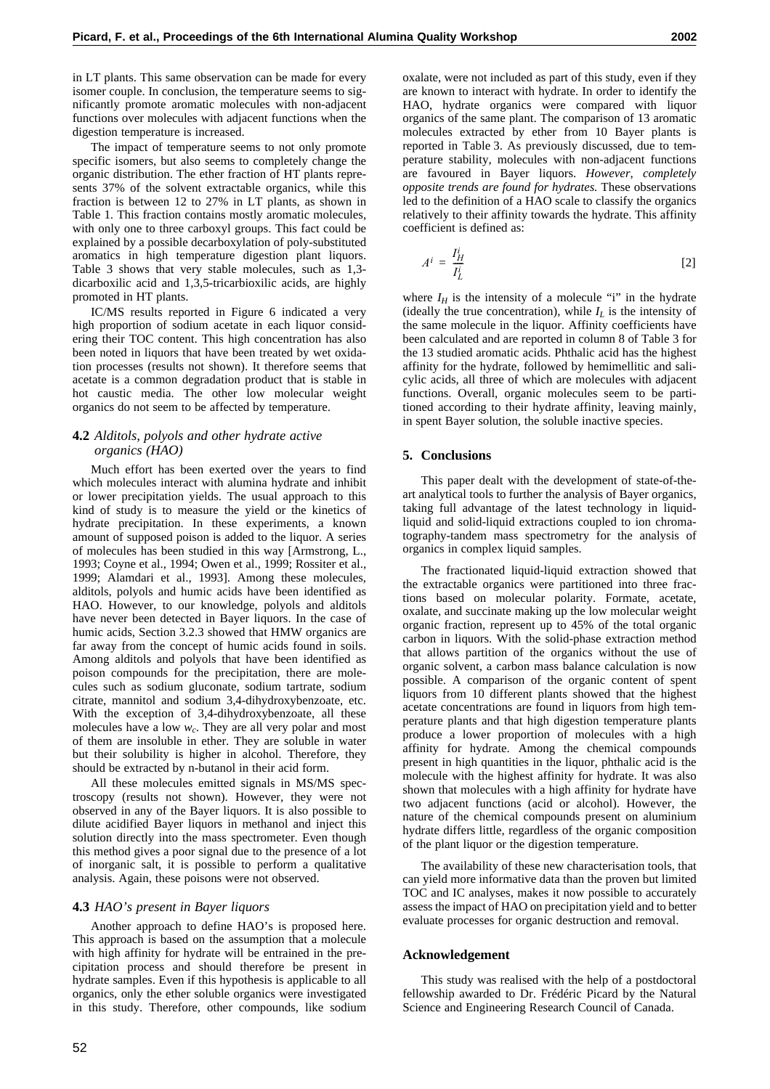in LT plants. This same observation can be made for every isomer couple. In conclusion, the temperature seems to significantly promote aromatic molecules with non-adjacent functions over molecules with adjacent functions when the digestion temperature is increased.

The impact of temperature seems to not only promote specific isomers, but also seems to completely change the organic distribution. The ether fraction of HT plants represents 37% of the solvent extractable organics, while this fraction is between 12 to 27% in LT plants, as shown in Table 1. This fraction contains mostly aromatic molecules, with only one to three carboxyl groups. This fact could be explained by a possible decarboxylation of poly-substituted aromatics in high temperature digestion plant liquors. Table 3 shows that very stable molecules, such as 1,3 dicarboxilic acid and 1,3,5-tricarbioxilic acids, are highly promoted in HT plants.

IC/MS results reported in Figure 6 indicated a very high proportion of sodium acetate in each liquor considering their TOC content. This high concentration has also been noted in liquors that have been treated by wet oxidation processes (results not shown). It therefore seems that acetate is a common degradation product that is stable in hot caustic media. The other low molecular weight organics do not seem to be affected by temperature.

# **4.2** *Alditols, polyols and other hydrate active organics (HAO)*

Much effort has been exerted over the years to find which molecules interact with alumina hydrate and inhibit or lower precipitation yields. The usual approach to this kind of study is to measure the yield or the kinetics of hydrate precipitation. In these experiments, a known amount of supposed poison is added to the liquor. A series of molecules has been studied in this way [Armstrong, L., 1993; Coyne et al., 1994; Owen et al., 1999; Rossiter et al., 1999; Alamdari et al., 1993]. Among these molecules, alditols, polyols and humic acids have been identified as HAO. However, to our knowledge, polyols and alditols have never been detected in Bayer liquors. In the case of humic acids, Section 3.2.3 showed that HMW organics are far away from the concept of humic acids found in soils. Among alditols and polyols that have been identified as poison compounds for the precipitation, there are molecules such as sodium gluconate, sodium tartrate, sodium citrate, mannitol and sodium 3,4-dihydroxybenzoate, etc. With the exception of 3,4-dihydroxybenzoate, all these molecules have a low *wc*. They are all very polar and most of them are insoluble in ether. They are soluble in water but their solubility is higher in alcohol. Therefore, they should be extracted by n-butanol in their acid form.

All these molecules emitted signals in MS/MS spectroscopy (results not shown). However, they were not observed in any of the Bayer liquors. It is also possible to dilute acidified Bayer liquors in methanol and inject this solution directly into the mass spectrometer. Even though this method gives a poor signal due to the presence of a lot of inorganic salt, it is possible to perform a qualitative analysis. Again, these poisons were not observed.

# **4.3** *HAO's present in Bayer liquors*

Another approach to define HAO's is proposed here. This approach is based on the assumption that a molecule with high affinity for hydrate will be entrained in the precipitation process and should therefore be present in hydrate samples. Even if this hypothesis is applicable to all organics, only the ether soluble organics were investigated in this study. Therefore, other compounds, like sodium

oxalate, were not included as part of this study, even if they are known to interact with hydrate. In order to identify the HAO, hydrate organics were compared with liquor organics of the same plant. The comparison of 13 aromatic molecules extracted by ether from 10 Bayer plants is reported in Table 3. As previously discussed, due to temperature stability, molecules with non-adjacent functions are favoured in Bayer liquors. *However, completely opposite trends are found for hydrates.* These observations led to the definition of a HAO scale to classify the organics relatively to their affinity towards the hydrate. This affinity coefficient is defined as:

$$
A^i = \frac{I_H^i}{I_L^i} \tag{2}
$$

where  $I_H$  is the intensity of a molecule "i" in the hydrate (ideally the true concentration), while  $I_L$  is the intensity of the same molecule in the liquor. Affinity coefficients have been calculated and are reported in column 8 of Table 3 for the 13 studied aromatic acids. Phthalic acid has the highest affinity for the hydrate, followed by hemimellitic and salicylic acids, all three of which are molecules with adjacent functions. Overall, organic molecules seem to be partitioned according to their hydrate affinity, leaving mainly, in spent Bayer solution, the soluble inactive species.

#### **5. Conclusions**

This paper dealt with the development of state-of-theart analytical tools to further the analysis of Bayer organics, taking full advantage of the latest technology in liquidliquid and solid-liquid extractions coupled to ion chromatography-tandem mass spectrometry for the analysis of organics in complex liquid samples.

The fractionated liquid-liquid extraction showed that the extractable organics were partitioned into three fractions based on molecular polarity. Formate, acetate, oxalate, and succinate making up the low molecular weight organic fraction, represent up to 45% of the total organic carbon in liquors. With the solid-phase extraction method that allows partition of the organics without the use of organic solvent, a carbon mass balance calculation is now possible. A comparison of the organic content of spent liquors from 10 different plants showed that the highest acetate concentrations are found in liquors from high temperature plants and that high digestion temperature plants produce a lower proportion of molecules with a high affinity for hydrate. Among the chemical compounds present in high quantities in the liquor, phthalic acid is the molecule with the highest affinity for hydrate. It was also shown that molecules with a high affinity for hydrate have two adjacent functions (acid or alcohol). However, the nature of the chemical compounds present on aluminium hydrate differs little, regardless of the organic composition of the plant liquor or the digestion temperature.

The availability of these new characterisation tools, that can yield more informative data than the proven but limited TOC and IC analyses, makes it now possible to accurately assess the impact of HAO on precipitation yield and to better evaluate processes for organic destruction and removal.

#### **Acknowledgement**

This study was realised with the help of a postdoctoral fellowship awarded to Dr. Frédéric Picard by the Natural Science and Engineering Research Council of Canada.